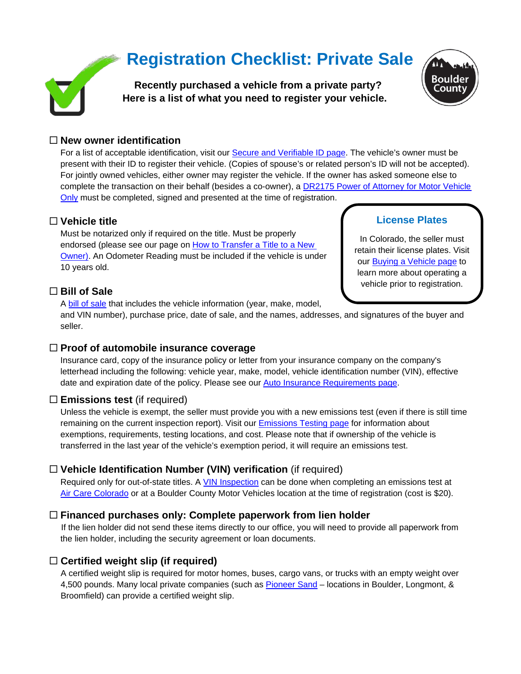# **Registration Checklist: Private Sale**



**Recently purchased a vehicle from a private party? Here is a list of what you need to register your vehicle.**



#### **New owner identification**

For a list of acceptable identification, visit our **Secure and Verifiable ID page**. The vehicle's owner must be present with their ID to register their vehicle. (Copies of spouse's or related person's ID will not be accepted). For jointly owned vehicles, either owner may register the vehicle. If the owner has asked someone else to complete the transaction on their behalf (besides a co-owner), a [DR2175 Power of Attorney for Motor Vehicle](https://www.colorado.gov/pacific/sites/default/files/DR2175.pdf)  [Only](https://www.colorado.gov/pacific/sites/default/files/DR2175.pdf) must be completed, signed and presented at the time of registration.

#### **Vehicle title**

Must be notarized only if required on the title. Must be properly endorsed (please see our page on [How to Transfer a Title to a New](https://www.bouldercounty.org/records/motor-vehicle/titles/#transfer-title)  [Owner\)](https://www.bouldercounty.org/records/motor-vehicle/titles/#transfer-title). An Odometer Reading must be included if the vehicle is under 10 years old.

# **Bill of Sale**

A [bill of sale](https://assets.bouldercounty.org/wp-content/uploads/2020/03/Motor-Vehicle-Bill-of-Sale.pdf) that includes the vehicle information (year, make, model,

and VIN number), purchase price, date of sale, and the names, addresses, and signatures of the buyer and seller.

#### **Proof of automobile insurance coverage**

Insurance card, copy of the insurance policy or letter from your insurance company on the company's letterhead including the following: vehicle year, make, model, vehicle identification number (VIN), effective date and expiration date of the policy. Please see our [Auto Insurance Requirements page.](https://www.bouldercounty.org/records/motor-vehicle/auto-insurance-requirements/)

# **Emissions test** (if required)

Unless the vehicle is exempt, the seller must provide you with a new emissions test (even if there is still time remaining on the current inspection report). Visit our [Emissions Testing page](https://www.bouldercounty.org/records/motor-vehicle/emissions-testing-requirements/) for information about exemptions, requirements, testing locations, and cost. Please note that if ownership of the vehicle is transferred in the last year of the vehicle's exemption period, it will require an emissions test.

# **Vehicle Identification Number (VIN) verification** (if required)

Required only for out-of-state titles. A [VIN Inspection](https://www.bouldercounty.org/records/motor-vehicle/additional-motor-vehicle-resources/vin-inspections/) can be done when completing an emissions test at [Air Care Colorado](https://aircarecolorado.com/) or at a Boulder County Motor Vehicles location at the time of registration (cost is \$20).

# **Financed purchases only: Complete paperwork from lien holder**

If the lien holder did not send these items directly to our office, you will need to provide all paperwork from the lien holder, including the security agreement or loan documents.

# **Certified weight slip (if required)**

A certified weight slip is required for motor homes, buses, cargo vans, or trucks with an empty weight over 4,500 pounds. Many local private companies (such as [Pioneer Sand](https://www.pioneersand.com/locations) - locations in Boulder, Longmont, & Broomfield) can provide a certified weight slip.

# **License Plates**

In Colorado, the seller must retain their license plates. Visit our **Buying a Vehicle page** to learn more about operating a vehicle prior to registration.